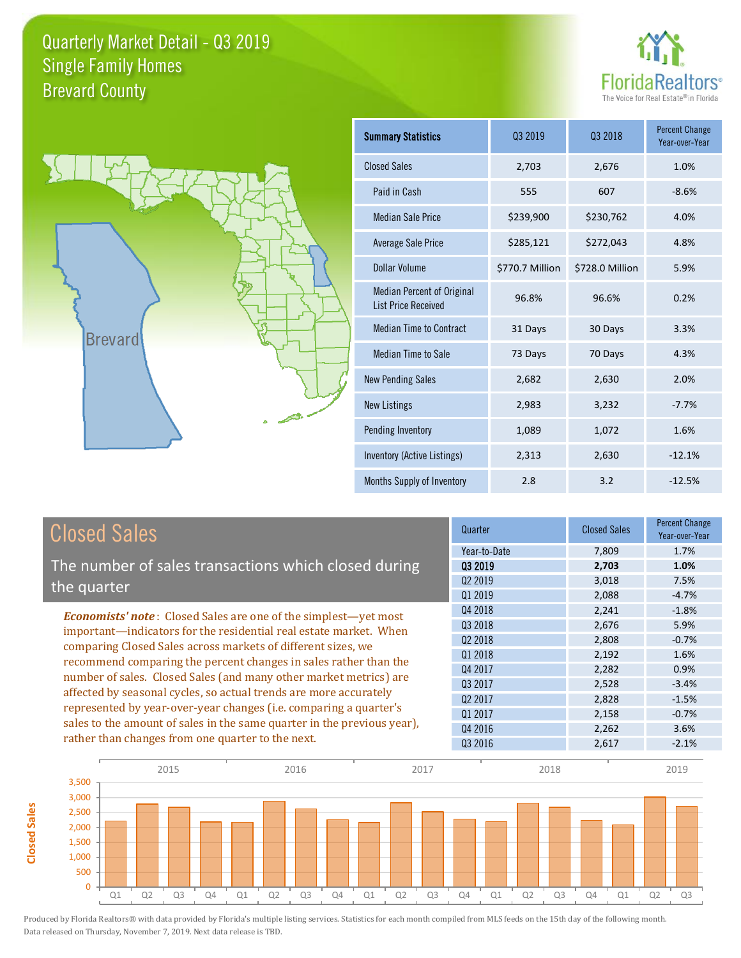



**Closed Sales**

**Closed Sales** 

| <b>Summary Statistics</b>                                       | 03 2019         | 03 2018         | <b>Percent Change</b><br>Year-over-Year |
|-----------------------------------------------------------------|-----------------|-----------------|-----------------------------------------|
| <b>Closed Sales</b>                                             | 2,703           | 2,676           | 1.0%                                    |
| Paid in Cash                                                    | 555             | 607             | $-8.6%$                                 |
| <b>Median Sale Price</b>                                        | \$239,900       | \$230,762       | 4.0%                                    |
| Average Sale Price                                              | \$285,121       | \$272,043       | 4.8%                                    |
| Dollar Volume                                                   | \$770.7 Million | \$728.0 Million | 5.9%                                    |
| <b>Median Percent of Original</b><br><b>List Price Received</b> | 96.8%           | 96.6%           | 0.2%                                    |
| <b>Median Time to Contract</b>                                  | 31 Days         | 30 Days         | 3.3%                                    |
| Median Time to Sale                                             | 73 Days         | 70 Days         | 4.3%                                    |
| <b>New Pending Sales</b>                                        | 2,682           | 2,630           | 2.0%                                    |
| <b>New Listings</b>                                             | 2,983           | 3,232           | $-7.7%$                                 |
| Pending Inventory                                               | 1,089           | 1,072           | 1.6%                                    |
| Inventory (Active Listings)                                     | 2,313           | 2,630           | $-12.1%$                                |
| Months Supply of Inventory                                      | 2.8             | 3.2             | $-12.5%$                                |

| <b>Closed Sales</b>                                                                                                                                                                                                                                                                                                                                                                                                                                                                             | Quarter             | <b>Closed Sales</b> | <b>Percent Change</b><br>Year-over-Year |
|-------------------------------------------------------------------------------------------------------------------------------------------------------------------------------------------------------------------------------------------------------------------------------------------------------------------------------------------------------------------------------------------------------------------------------------------------------------------------------------------------|---------------------|---------------------|-----------------------------------------|
|                                                                                                                                                                                                                                                                                                                                                                                                                                                                                                 | Year-to-Date        | 7,809               | 1.7%                                    |
| The number of sales transactions which closed during                                                                                                                                                                                                                                                                                                                                                                                                                                            | 03 2019             | 2,703               | 1.0%                                    |
| the quarter                                                                                                                                                                                                                                                                                                                                                                                                                                                                                     | Q <sub>2</sub> 2019 | 3,018               | 7.5%                                    |
|                                                                                                                                                                                                                                                                                                                                                                                                                                                                                                 | Q1 2019             | 2,088               | $-4.7%$                                 |
| <b>Economists' note:</b> Closed Sales are one of the simplest—yet most                                                                                                                                                                                                                                                                                                                                                                                                                          | Q4 2018             | 2,241               | $-1.8%$                                 |
| important-indicators for the residential real estate market. When<br>comparing Closed Sales across markets of different sizes, we<br>recommend comparing the percent changes in sales rather than the<br>number of sales. Closed Sales (and many other market metrics) are<br>affected by seasonal cycles, so actual trends are more accurately<br>represented by year-over-year changes (i.e. comparing a quarter's<br>sales to the amount of sales in the same quarter in the previous year), | Q3 2018             | 2,676               | 5.9%                                    |
|                                                                                                                                                                                                                                                                                                                                                                                                                                                                                                 | 02 2018             | 2,808               | $-0.7%$                                 |
|                                                                                                                                                                                                                                                                                                                                                                                                                                                                                                 | 01 2018             | 2,192               | 1.6%                                    |
|                                                                                                                                                                                                                                                                                                                                                                                                                                                                                                 | Q4 2017             | 2,282               | 0.9%                                    |
|                                                                                                                                                                                                                                                                                                                                                                                                                                                                                                 | Q3 2017             | 2,528               | $-3.4%$                                 |
|                                                                                                                                                                                                                                                                                                                                                                                                                                                                                                 | 02 2017             | 2,828               | $-1.5%$                                 |
|                                                                                                                                                                                                                                                                                                                                                                                                                                                                                                 | Q1 2017             | 2,158               | $-0.7%$                                 |
|                                                                                                                                                                                                                                                                                                                                                                                                                                                                                                 | Q4 2016             | 2,262               | 3.6%                                    |
| rather than changes from one quarter to the next.                                                                                                                                                                                                                                                                                                                                                                                                                                               | Q3 2016             | 2.617               | $-2.1%$                                 |

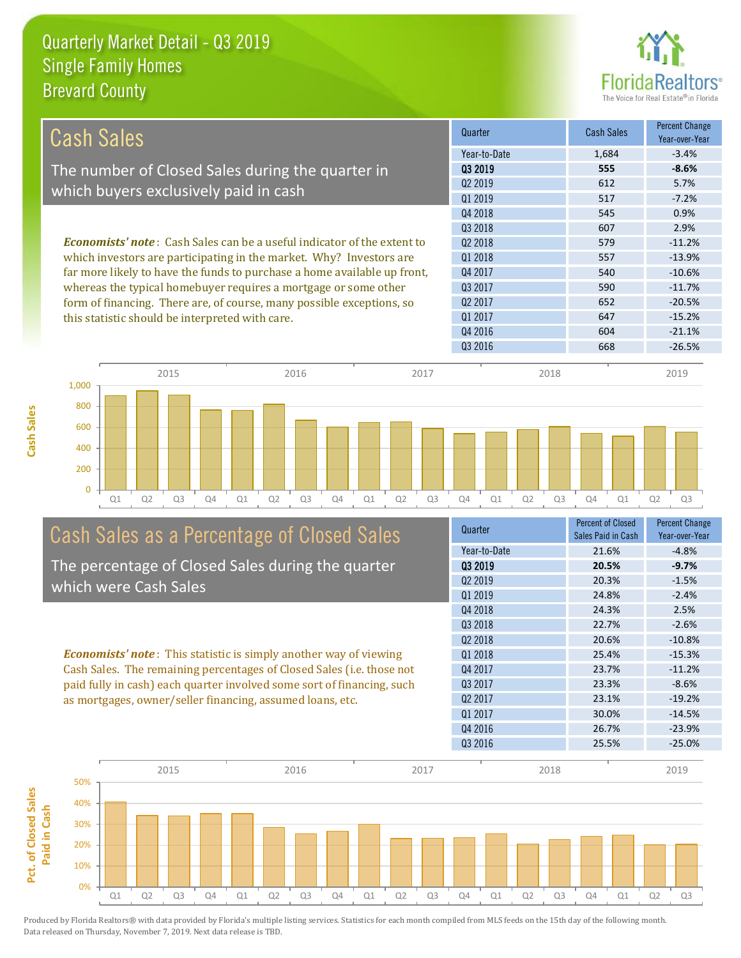

| Cash Sales                                                                     | Quarter             | <b>Cash Sales</b> | <b>Percent Change</b><br>Year-over-Year |
|--------------------------------------------------------------------------------|---------------------|-------------------|-----------------------------------------|
|                                                                                | Year-to-Date        | 1,684             | $-3.4%$                                 |
| The number of Closed Sales during the quarter in                               | 03 2019             | 555               | $-8.6%$                                 |
| which buyers exclusively paid in cash                                          | Q <sub>2</sub> 2019 | 612               | 5.7%                                    |
|                                                                                | 01 2019             | 517               | $-7.2%$                                 |
|                                                                                | Q4 2018             | 545               | 0.9%                                    |
|                                                                                | Q3 2018             | 607               | 2.9%                                    |
| <b>Economists' note:</b> Cash Sales can be a useful indicator of the extent to | 02 2018             | 579               | $-11.2%$                                |
| which investors are participating in the market. Why? Investors are            | 01 2018             | 557               | $-13.9%$                                |
| far more likely to have the funds to purchase a home available up front,       | Q4 2017             | 540               | $-10.6%$                                |
| whereas the typical homebuyer requires a mortgage or some other                | Q3 2017             | 590               | $-11.7%$                                |
| form of financing. There are, of course, many possible exceptions, so          | Q <sub>2</sub> 2017 | 652               | $-20.5%$                                |
| this statistic should be interpreted with care.                                | 01 2017             | 647               | $-15.2%$                                |
|                                                                                | Q4 2016             | 604               | $-21.1%$                                |
|                                                                                | Q3 2016             | 668               | $-26.5%$                                |



# Cash Sales as a Percentage of Closed Sales

The percentage of Closed Sales during the quarter which were Cash Sales

*Economists' note* : This statistic is simply another way of viewing Cash Sales. The remaining percentages of Closed Sales (i.e. those not paid fully in cash) each quarter involved some sort of financing, such as mortgages, owner/seller financing, assumed loans, etc.



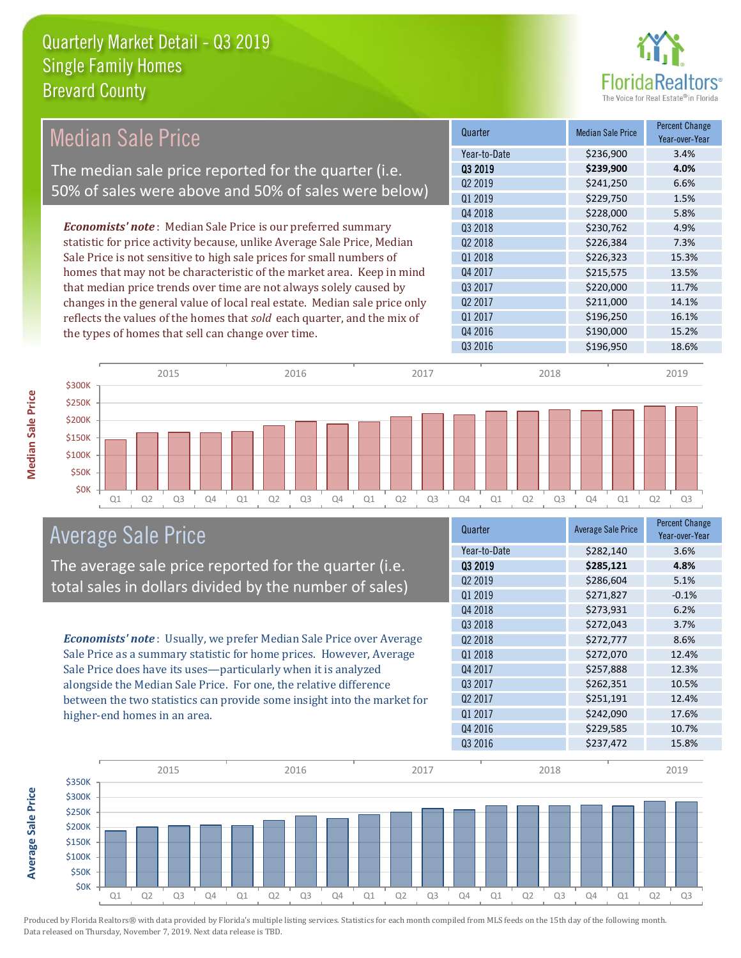

| <b>Median Sale Price</b>                                                  | Quarter             | <b>Median Sale Price</b> | <b>Percent Change</b><br>Year-over-Year |
|---------------------------------------------------------------------------|---------------------|--------------------------|-----------------------------------------|
|                                                                           | Year-to-Date        | \$236,900                | 3.4%                                    |
| The median sale price reported for the quarter (i.e.                      | 03 2019             | \$239,900                | 4.0%                                    |
| 50% of sales were above and 50% of sales were below)                      | Q <sub>2</sub> 2019 | \$241,250                | 6.6%                                    |
|                                                                           | Q1 2019             | \$229,750                | 1.5%                                    |
|                                                                           | Q4 2018             | \$228,000                | 5.8%                                    |
| <b>Economists' note:</b> Median Sale Price is our preferred summary       | Q3 2018             | \$230,762                | 4.9%                                    |
| statistic for price activity because, unlike Average Sale Price, Median   | Q <sub>2</sub> 2018 | \$226,384                | 7.3%                                    |
| Sale Price is not sensitive to high sale prices for small numbers of      | Q1 2018             | \$226,323                | 15.3%                                   |
| homes that may not be characteristic of the market area. Keep in mind     | Q4 2017             | \$215,575                | 13.5%                                   |
| that median price trends over time are not always solely caused by        | Q3 2017             | \$220,000                | 11.7%                                   |
| changes in the general value of local real estate. Median sale price only | Q <sub>2</sub> 2017 | \$211,000                | 14.1%                                   |
| reflects the values of the homes that sold each quarter, and the mix of   | Q1 2017             | \$196,250                | 16.1%                                   |
| the types of homes that sell can change over time.                        | Q4 2016             | \$190,000                | 15.2%                                   |
|                                                                           | Q3 2016             | \$196,950                | 18.6%                                   |
| 2017<br>2015<br>2016<br>\$300K                                            | 2018                |                          | 2019                                    |
|                                                                           |                     |                          |                                         |



**Average Sale Price**

**Average Sale Price** 



### Average Sale Price

The average sale price reported for the quarter (i.e. total sales in dollars divided by the number of sales)

*Economists' note* : Usually, we prefer Median Sale Price over Average Sale Price as a summary statistic for home prices. However, Average Sale Price does have its uses—particularly when it is analyzed alongside the Median Sale Price. For one, the relative difference between the two statistics can provide some insight into the market for higher-end homes in an area.

| <b>Average Sale Price</b> | <b>Percent Change</b><br>Year-over-Year |
|---------------------------|-----------------------------------------|
| \$282,140                 | 3.6%                                    |
| \$285,121                 | 4.8%                                    |
| \$286,604                 | 5.1%                                    |
| \$271,827                 | $-0.1%$                                 |
| \$273,931                 | 6.2%                                    |
| \$272,043                 | 3.7%                                    |
| \$272,777                 | 8.6%                                    |
| \$272,070                 | 12.4%                                   |
| \$257,888                 | 12.3%                                   |
| \$262,351                 | 10.5%                                   |
| \$251,191                 | 12.4%                                   |
| \$242,090                 | 17.6%                                   |
| \$229,585                 | 10.7%                                   |
| \$237,472                 | 15.8%                                   |
|                           |                                         |

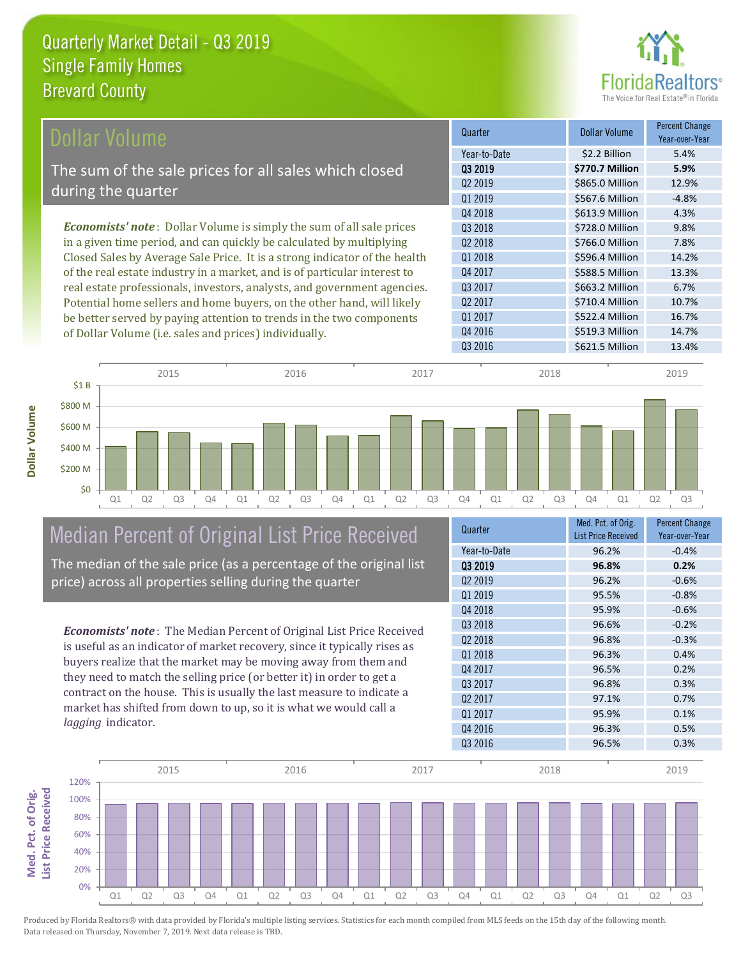

| Dollar Volume                                                                | Quarter             | <b>Dollar Volume</b> | <b>Percent Change</b><br>Year-over-Year |
|------------------------------------------------------------------------------|---------------------|----------------------|-----------------------------------------|
|                                                                              | Year-to-Date        | \$2.2 Billion        | 5.4%                                    |
| The sum of the sale prices for all sales which closed                        | Q3 2019             | \$770.7 Million      | 5.9%                                    |
|                                                                              | Q <sub>2</sub> 2019 | \$865.0 Million      | 12.9%                                   |
| during the quarter                                                           | Q1 2019             | \$567.6 Million      | $-4.8%$                                 |
|                                                                              | Q4 2018             | \$613.9 Million      | 4.3%                                    |
| <b>Economists' note</b> : Dollar Volume is simply the sum of all sale prices | Q3 2018             | \$728.0 Million      | 9.8%                                    |
| in a given time period, and can quickly be calculated by multiplying         | Q <sub>2</sub> 2018 | \$766.0 Million      | 7.8%                                    |
| Closed Sales by Average Sale Price. It is a strong indicator of the health   | Q1 2018             | \$596.4 Million      | 14.2%                                   |
| of the real estate industry in a market, and is of particular interest to    | Q4 2017             | \$588.5 Million      | 13.3%                                   |
| real estate professionals, investors, analysts, and government agencies.     | Q3 2017             | \$663.2 Million      | 6.7%                                    |
| Potential home sellers and home buyers, on the other hand, will likely       | Q <sub>2</sub> 2017 | \$710.4 Million      | 10.7%                                   |
| be better served by paying attention to trends in the two components         | Q1 2017             | \$522.4 Million      | 16.7%                                   |
| of Dollar Volume ( <i>i.e.</i> sales and prices) individually.               | Q4 2016             | \$519.3 Million      | 14.7%                                   |



# Median Percent of Original List Price Received

The median of the sale price (as a percentage of the original list price) across all properties selling during the quarter

*Economists' note* : The Median Percent of Original List Price Received is useful as an indicator of market recovery, since it typically rises as buyers realize that the market may be moving away from them and they need to match the selling price (or better it) in order to get a contract on the house. This is usually the last measure to indicate a market has shifted from down to up, so it is what we would call a *lagging* indicator.

| Quarter             | Med. Pct. of Orig.<br><b>List Price Received</b> | <b>Percent Change</b><br>Year-over-Year |
|---------------------|--------------------------------------------------|-----------------------------------------|
| Year-to-Date        | 96.2%                                            | $-0.4%$                                 |
| 03 2019             | 96.8%                                            | 0.2%                                    |
| Q <sub>2</sub> 2019 | 96.2%                                            | $-0.6%$                                 |
| Q1 2019             | 95.5%                                            | $-0.8%$                                 |
| Q4 2018             | 95.9%                                            | $-0.6%$                                 |
| Q3 2018             | 96.6%                                            | $-0.2%$                                 |
| Q <sub>2</sub> 2018 | 96.8%                                            | $-0.3%$                                 |
| 01 2018             | 96.3%                                            | 0.4%                                    |
| Q4 2017             | 96.5%                                            | 0.2%                                    |
| Q3 2017             | 96.8%                                            | 0.3%                                    |
| Q <sub>2</sub> 2017 | 97.1%                                            | 0.7%                                    |
| Q1 2017             | 95.9%                                            | 0.1%                                    |
| Q4 2016             | 96.3%                                            | 0.5%                                    |
| Q3 2016             | 96.5%                                            | 0.3%                                    |

Q3 2016 \$621.5 Million 13.4%

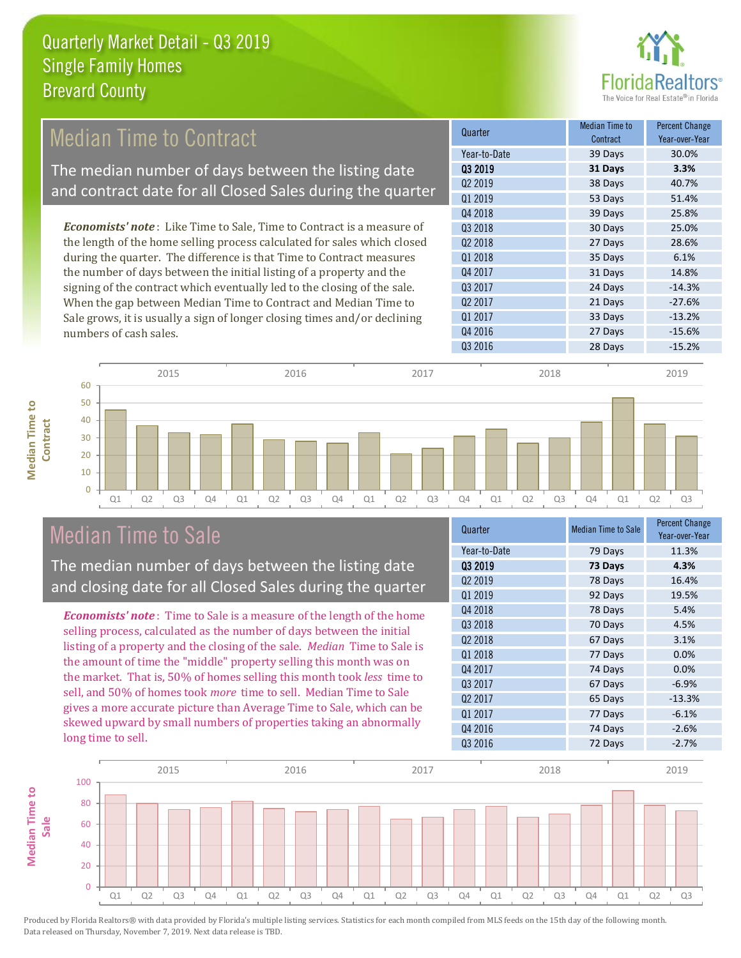

#### *Economists' note* : Like Time to Sale, Time to Contract is a measure of **Quarter Median Time to All According to All According Median Time to All According to All According to All According to All According to All According to All According to All According to All According to All According to Contract** Percent Change Median Time to Contract The median number of days between the listing date and contract date for all Closed Sales during the quarter

the length of the home selling process calculated for sales which closed during the quarter. The difference is that Time to Contract measures the number of days between the initial listing of a property and the signing of the contract which eventually led to the closing of the sale. When the gap between Median Time to Contract and Median Time to Sale grows, it is usually a sign of longer closing times and/or declining numbers of cash sales.





### Median Time to Sale

**Median Time to** 

**Median Time to** 

The median number of days between the listing date and closing date for all Closed Sales during the quarter

*Economists' note* : Time to Sale is a measure of the length of the home selling process, calculated as the number of days between the initial listing of a property and the closing of the sale. *Median* Time to Sale is the amount of time the "middle" property selling this month was on the market. That is, 50% of homes selling this month took *less* time to sell, and 50% of homes took *more* time to sell. Median Time to Sale gives a more accurate picture than Average Time to Sale, which can be skewed upward by small numbers of properties taking an abnormally long time to sell.

| Quarter             | <b>Median Time to Sale</b> | <b>Percent Change</b><br>Year-over-Year |
|---------------------|----------------------------|-----------------------------------------|
| Year-to-Date        | 79 Days                    | 11.3%                                   |
| 03 2019             | 73 Days                    | 4.3%                                    |
| 02 2019             | 78 Days                    | 16.4%                                   |
| Q1 2019             | 92 Days                    | 19.5%                                   |
| Q4 2018             | 78 Days                    | 5.4%                                    |
| 03 2018             | 70 Days                    | 4.5%                                    |
| Q <sub>2</sub> 2018 | 67 Days                    | 3.1%                                    |
| Q1 2018             | 77 Days                    | 0.0%                                    |
| Q4 2017             | 74 Days                    | 0.0%                                    |
| Q3 2017             | 67 Days                    | $-6.9%$                                 |
| Q <sub>2</sub> 2017 | 65 Days                    | $-13.3%$                                |
| Q1 2017             | 77 Days                    | $-6.1%$                                 |
| Q4 2016             | 74 Days                    | $-2.6%$                                 |
| Q3 2016             | 72 Days                    | $-2.7%$                                 |

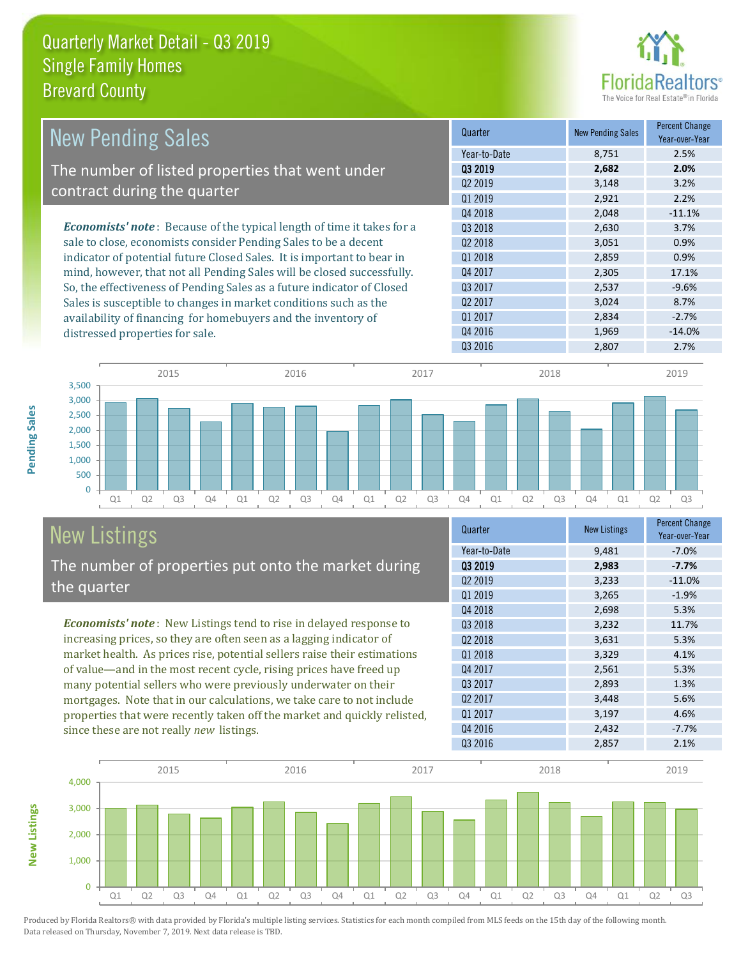

| <b>New Pending Sales</b>                                                       | Quarter             | <b>New Pending Sales</b> | <b>Percent Change</b><br>Year-over-Year |
|--------------------------------------------------------------------------------|---------------------|--------------------------|-----------------------------------------|
|                                                                                | Year-to-Date        | 8,751                    | 2.5%                                    |
| The number of listed properties that went under                                | 03 2019             | 2,682                    | 2.0%                                    |
|                                                                                | Q <sub>2</sub> 2019 | 3,148                    | 3.2%                                    |
| contract during the quarter                                                    | Q1 2019             | 2,921                    | 2.2%                                    |
|                                                                                | Q4 2018             | 2,048                    | $-11.1%$                                |
| <b>Economists' note</b> : Because of the typical length of time it takes for a | Q3 2018             | 2,630                    | 3.7%                                    |
| sale to close, economists consider Pending Sales to be a decent                | Q <sub>2</sub> 2018 | 3,051                    | 0.9%                                    |
| indicator of potential future Closed Sales. It is important to bear in         | 01 2018             | 2,859                    | 0.9%                                    |
| mind, however, that not all Pending Sales will be closed successfully.         | Q4 2017             | 2,305                    | 17.1%                                   |
| So, the effectiveness of Pending Sales as a future indicator of Closed         | Q3 2017             | 2,537                    | $-9.6%$                                 |
| Sales is susceptible to changes in market conditions such as the               | Q <sub>2</sub> 2017 | 3,024                    | 8.7%                                    |
| availability of financing for homebuyers and the inventory of                  | Q1 2017             | 2,834                    | $-2.7%$                                 |
| distressed properties for sale.                                                | Q4 2016             | 1,969                    | $-14.0%$                                |



### New Listings The number of properties put onto the market during

since these are not really *new* listings.

*Economists' note* : New Listings tend to rise in delayed response to increasing prices, so they are often seen as a lagging indicator of market health. As prices rise, potential sellers raise their estimations of value—and in the most recent cycle, rising prices have freed up many potential sellers who were previously underwater on their mortgages. Note that in our calculations, we take care to not include properties that were recently taken off the market and quickly relisted,

| Quarter             | <b>New Listings</b> | <b>Percent Change</b><br>Year-over-Year |
|---------------------|---------------------|-----------------------------------------|
| Year-to-Date        | 9,481               | $-7.0%$                                 |
| 03 2019             | 2,983               | $-7.7%$                                 |
| Q <sub>2</sub> 2019 | 3,233               | $-11.0%$                                |
| Q1 2019             | 3,265               | $-1.9%$                                 |
| Q4 2018             | 2,698               | 5.3%                                    |
| Q3 2018             | 3,232               | 11.7%                                   |
| Q <sub>2</sub> 2018 | 3,631               | 5.3%                                    |
| 01 2018             | 3,329               | 4.1%                                    |
| Q4 2017             | 2,561               | 5.3%                                    |
| Q3 2017             | 2,893               | 1.3%                                    |
| Q <sub>2</sub> 2017 | 3,448               | 5.6%                                    |
| Q1 2017             | 3,197               | 4.6%                                    |
| Q4 2016             | 2,432               | $-7.7%$                                 |
| Q3 2016             | 2,857               | 2.1%                                    |

Q3 2016 2,807 2.7%



Pending Sales **Pending Sales**

the quarter

**New Listings**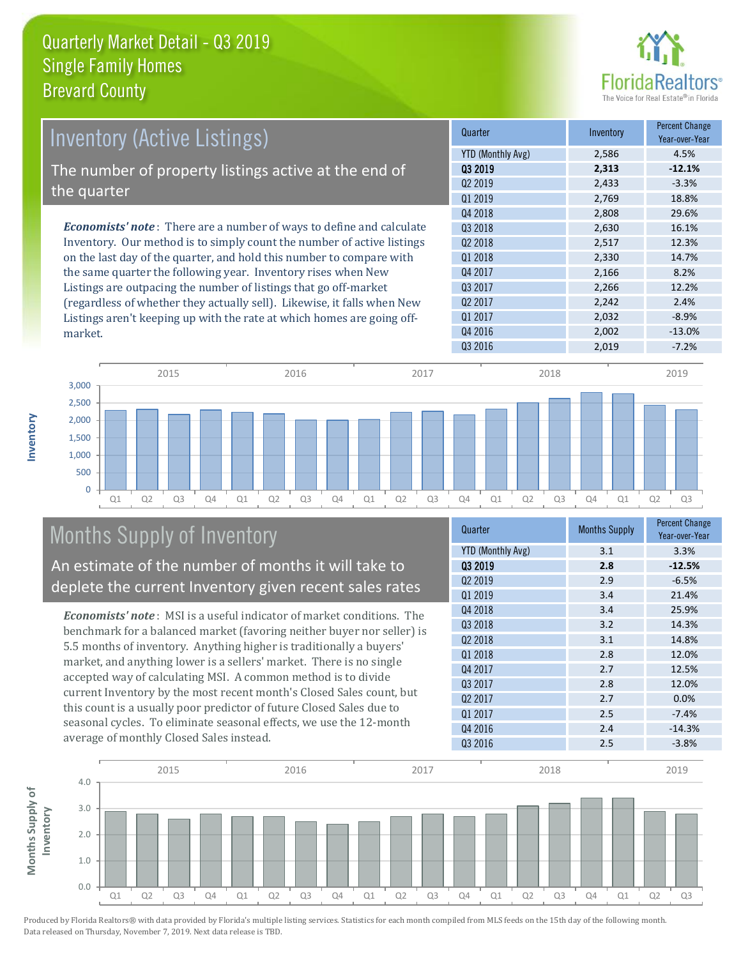

| <b>Inventory (Active Listings)</b>                                           | Quarter             | Inventory | <b>Percent Change</b><br>Year-over-Year |
|------------------------------------------------------------------------------|---------------------|-----------|-----------------------------------------|
|                                                                              | YTD (Monthly Avg)   | 2,586     | 4.5%                                    |
| The number of property listings active at the end of                         | 03 2019             | 2,313     | $-12.1%$                                |
|                                                                              | Q <sub>2</sub> 2019 | 2,433     | $-3.3%$                                 |
| the quarter                                                                  | 01 2019             | 2,769     | 18.8%                                   |
|                                                                              | Q4 2018             | 2,808     | 29.6%                                   |
| <b>Economists' note</b> : There are a number of ways to define and calculate | 03 2018             | 2,630     | 16.1%                                   |
| Inventory. Our method is to simply count the number of active listings       | 02 2018             | 2,517     | 12.3%                                   |
| on the last day of the quarter, and hold this number to compare with         | 01 2018             | 2,330     | 14.7%                                   |
| the same quarter the following year. Inventory rises when New                | Q4 2017             | 2,166     | 8.2%                                    |
| Listings are outpacing the number of listings that go off-market             | Q3 2017             | 2,266     | 12.2%                                   |
| (regardless of whether they actually sell). Likewise, it falls when New      | Q <sub>2</sub> 2017 | 2.242     | 2.4%                                    |
| Listings aren't keeping up with the rate at which homes are going off-       | 01 2017             | 2,032     | $-8.9%$                                 |



### Months Supply of Inventory

market.

**Inventory**

An estimate of the number of months it will take to deplete the current Inventory given recent sales rates

*Economists' note* : MSI is a useful indicator of market conditions. The benchmark for a balanced market (favoring neither buyer nor seller) is 5.5 months of inventory. Anything higher is traditionally a buyers' market, and anything lower is a sellers' market. There is no single accepted way of calculating MSI. A common method is to divide current Inventory by the most recent month's Closed Sales count, but this count is a usually poor predictor of future Closed Sales due to seasonal cycles. To eliminate seasonal effects, we use the 12-month average of monthly Closed Sales instead.

| Quarter                  | <b>Months Supply</b> | <b>Percent Change</b><br>Year-over-Year |
|--------------------------|----------------------|-----------------------------------------|
| <b>YTD (Monthly Avg)</b> | 3.1                  | 3.3%                                    |
| 03 2019                  | 2.8                  | $-12.5%$                                |
| Q <sub>2</sub> 2019      | 2.9                  | $-6.5%$                                 |
| Q1 2019                  | 3.4                  | 21.4%                                   |
| Q4 2018                  | 3.4                  | 25.9%                                   |
| Q3 2018                  | 3.2                  | 14.3%                                   |
| Q <sub>2</sub> 2018      | 3.1                  | 14.8%                                   |
| 01 2018                  | 2.8                  | 12.0%                                   |
| Q4 2017                  | 2.7                  | 12.5%                                   |
| Q3 2017                  | 2.8                  | 12.0%                                   |
| Q <sub>2</sub> 2017      | 2.7                  | 0.0%                                    |
| Q1 2017                  | 2.5                  | $-7.4%$                                 |
| Q4 2016                  | 2.4                  | $-14.3%$                                |
| Q3 2016                  | 2.5                  | $-3.8%$                                 |

Q4 2016 2,002 -13.0%

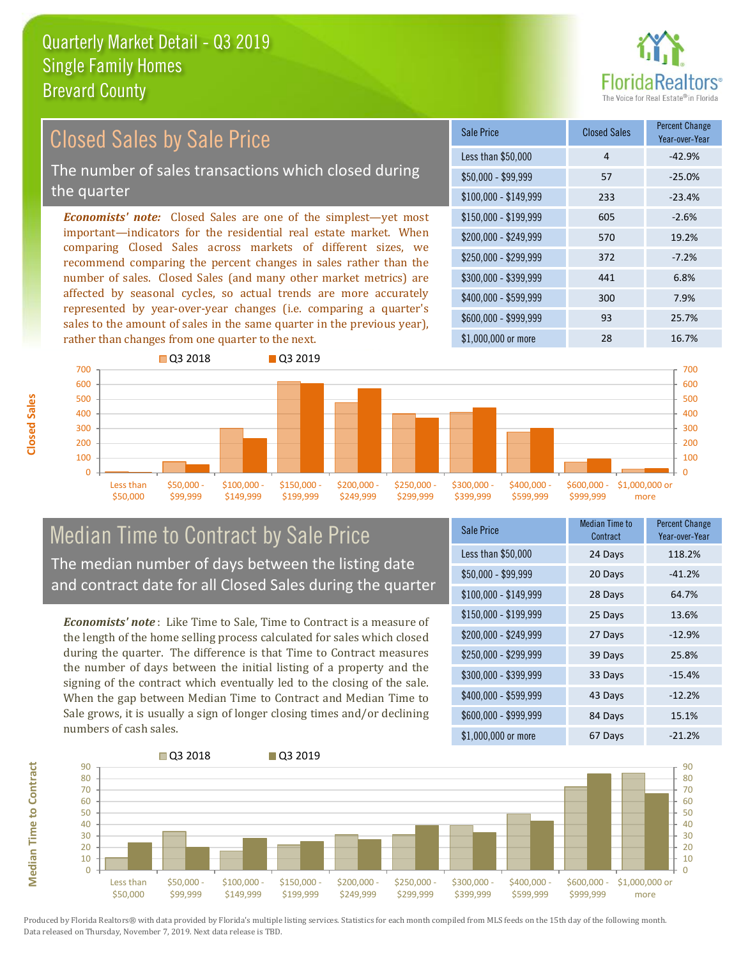

#### $$100,000 - $149,999$  233 -23.4% Sale Price Closed Sales Percent Change Year-over-Year Less than \$50,000  $\overline{4}$  and  $\overline{4}$  -42.9%  $$50.000 - $99.999$  57 -25.0% \$150,000 - \$199,999 605 -2.6% \$200,000 - \$249,999 570 19.2% \$400,000 - \$599,999 300 7.9% \$600,000 - \$999,999 93 25.7% *Economists' note:* Closed Sales are one of the simplest—yet most important—indicators for the residential real estate market. When comparing Closed Sales across markets of different sizes, we recommend comparing the percent changes in sales rather than the number of sales. Closed Sales (and many other market metrics) are affected by seasonal cycles, so actual trends are more accurately represented by year-over-year changes (i.e. comparing a quarter's sales to the amount of sales in the same quarter in the previous year), rather than changes from one quarter to the next. \$1,000,000 or more 28 28 16.7%  $$250,000 - $299,999$   $$372$   $$-7.2\%$ \$300,000 - \$399,999 441 6.8% Closed Sales by Sale Price The number of sales transactions which closed during the quarter



#### Median Time to Contract by Sale Price The median number of days between the listing date and contract date for all Closed Sales during the quarter

*Economists' note* : Like Time to Sale, Time to Contract is a measure of the length of the home selling process calculated for sales which closed during the quarter. The difference is that Time to Contract measures the number of days between the initial listing of a property and the signing of the contract which eventually led to the closing of the sale. When the gap between Median Time to Contract and Median Time to Sale grows, it is usually a sign of longer closing times and/or declining numbers of cash sales.

| Sale Price            | Median Time to<br>Contract | <b>Percent Change</b><br>Year-over-Year |
|-----------------------|----------------------------|-----------------------------------------|
| Less than \$50,000    | 24 Days                    | 118.2%                                  |
| $$50,000 - $99,999$   | 20 Days                    | $-41.2%$                                |
| $$100,000 - $149,999$ | 28 Days                    | 64.7%                                   |
| \$150,000 - \$199,999 | 25 Days                    | 13.6%                                   |
| \$200,000 - \$249,999 | 27 Days                    | $-12.9%$                                |
| \$250,000 - \$299,999 | 39 Days                    | 25.8%                                   |
| \$300,000 - \$399,999 | 33 Days                    | $-15.4%$                                |
| \$400,000 - \$599,999 | 43 Days                    | $-12.2%$                                |
| \$600,000 - \$999,999 | 84 Days                    | 15.1%                                   |
| \$1,000,000 or more   | 67 Days                    | $-21.2%$                                |



**Closed Sales**

**Median Time to Contract Median Time to Contract**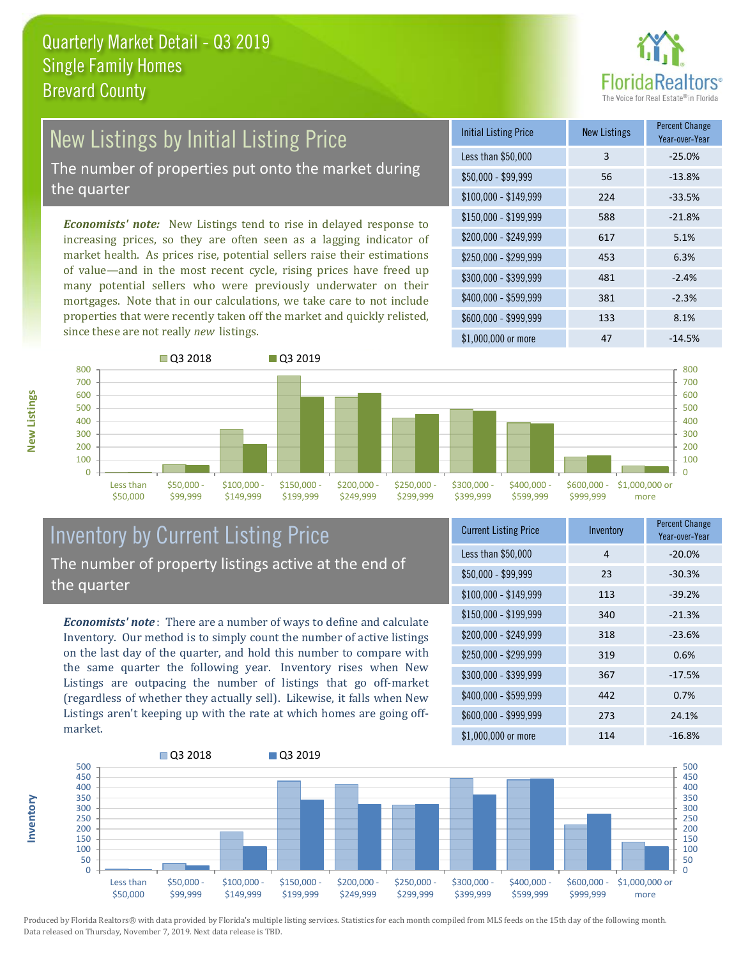

## New Listings by Initial Listing Price

The number of properties put onto the market during the quarter

*Economists' note:* New Listings tend to rise in delayed response to increasing prices, so they are often seen as a lagging indicator of market health. As prices rise, potential sellers raise their estimations of value—and in the most recent cycle, rising prices have freed up many potential sellers who were previously underwater on their mortgages. Note that in our calculations, we take care to not include properties that were recently taken off the market and quickly relisted, since these are not really *new* listings.

| <b>Initial Listing Price</b> | <b>New Listings</b> | <b>Percent Change</b><br>Year-over-Year |
|------------------------------|---------------------|-----------------------------------------|
| Less than \$50,000           | 3                   | $-25.0%$                                |
| $$50,000 - $99,999$          | 56                  | $-13.8%$                                |
| $$100,000 - $149,999$        | 224                 | $-33.5%$                                |
| $$150,000 - $199,999$        | 588                 | $-21.8%$                                |
| \$200,000 - \$249,999        | 617                 | 5.1%                                    |
| $$250,000 - $299,999$        | 453                 | 6.3%                                    |
| \$300,000 - \$399,999        | 481                 | $-2.4%$                                 |
| \$400,000 - \$599,999        | 381                 | $-2.3%$                                 |
| \$600,000 - \$999,999        | 133                 | 8.1%                                    |
| \$1,000,000 or more          | 47                  | $-14.5%$                                |



#### Inventory by Current Listing Price The number of property listings active at the end of the quarter

*Economists' note* : There are a number of ways to define and calculate Inventory. Our method is to simply count the number of active listings on the last day of the quarter, and hold this number to compare with the same quarter the following year. Inventory rises when New Listings are outpacing the number of listings that go off-market (regardless of whether they actually sell). Likewise, it falls when New Listings aren't keeping up with the rate at which homes are going offmarket.

| <b>Current Listing Price</b> | Inventory | <b>Percent Change</b><br>Year-over-Year |
|------------------------------|-----------|-----------------------------------------|
| Less than \$50,000           | 4         | $-20.0%$                                |
| $$50,000 - $99,999$          | 23        | $-30.3%$                                |
| $$100,000 - $149,999$        | 113       | $-39.2%$                                |
| $$150,000 - $199,999$        | 340       | $-21.3%$                                |
| \$200,000 - \$249,999        | 318       | $-23.6%$                                |
| \$250,000 - \$299,999        | 319       | 0.6%                                    |
| \$300,000 - \$399,999        | 367       | $-17.5%$                                |
| \$400,000 - \$599,999        | 442       | 0.7%                                    |
| \$600,000 - \$999,999        | 273       | 24.1%                                   |
| \$1,000,000 or more          | 114       | $-16.8%$                                |



**New Listings**